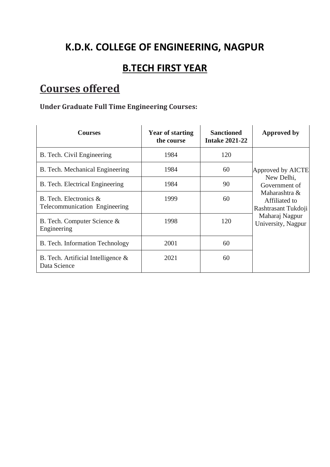## **K.D.K. COLLEGE OF ENGINEERING, NAGPUR**

## **B.TECH FIRST YEAR**

# **Courses offered**

### **Under Graduate Full Time Engineering Courses:**

| <b>Courses</b>                                             | <b>Year of starting</b><br>the course | <b>Sanctioned</b><br><b>Intake 2021-22</b> | <b>Approved by</b>                                                                                                                                |
|------------------------------------------------------------|---------------------------------------|--------------------------------------------|---------------------------------------------------------------------------------------------------------------------------------------------------|
| B. Tech. Civil Engineering                                 | 1984                                  | 120                                        | Approved by AICTE<br>New Delhi,<br>Government of<br>Maharashtra &<br>Affiliated to<br>Rashtrasant Tukdoji<br>Maharaj Nagpur<br>University, Nagpur |
| B. Tech. Mechanical Engineering                            | 1984                                  | 60                                         |                                                                                                                                                   |
| B. Tech. Electrical Engineering                            | 1984                                  | 90                                         |                                                                                                                                                   |
| B. Tech. Electronics $\&$<br>Telecommunication Engineering | 1999                                  | 60                                         |                                                                                                                                                   |
| B. Tech. Computer Science &<br>Engineering                 | 1998                                  | 120                                        |                                                                                                                                                   |
| B. Tech. Information Technology                            | 2001                                  | 60                                         |                                                                                                                                                   |
| B. Tech. Artificial Intelligence $\&$<br>Data Science      | 2021                                  | 60                                         |                                                                                                                                                   |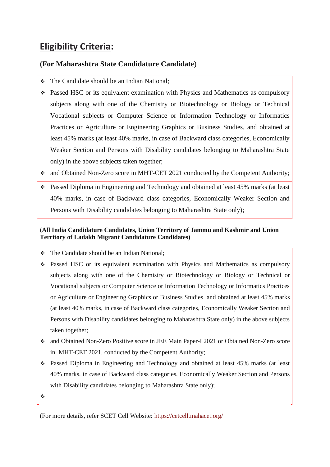### **Eligibility Criteria:**

#### **(For Maharashtra State Candidature Candidate**)

- ❖ The Candidate should be an Indian National;
- ❖ Passed HSC or its equivalent examination with Physics and Mathematics as compulsory subjects along with one of the Chemistry or Biotechnology or Biology or Technical Vocational subjects or Computer Science or Information Technology or Informatics Practices or Agriculture or Engineering Graphics or Business Studies, and obtained at least 45% marks (at least 40% marks, in case of Backward class categories, Economically Weaker Section and Persons with Disability candidates belonging to Maharashtra State only) in the above subjects taken together;
- ❖ and Obtained Non-Zero score in MHT-CET 2021 conducted by the Competent Authority;
- ❖ Passed Diploma in Engineering and Technology and obtained at least 45% marks (at least 40% marks, in case of Backward class categories, Economically Weaker Section and Persons with Disability candidates belonging to Maharashtra State only);

#### **(All India Candidature Candidates, Union Territory of Jammu and Kashmir and Union Territory of Ladakh Migrant Candidature Candidates)**

- ❖ The Candidate should be an Indian National;
- ❖ Passed HSC or its equivalent examination with Physics and Mathematics as compulsory subjects along with one of the Chemistry or Biotechnology or Biology or Technical or Vocational subjects or Computer Science or Information Technology or Informatics Practices or Agriculture or Engineering Graphics or Business Studies and obtained at least 45% marks (at least 40% marks, in case of Backward class categories, Economically Weaker Section and Persons with Disability candidates belonging to Maharashtra State only) in the above subjects taken together;
- ❖ and Obtained Non-Zero Positive score in JEE Main Paper-I 2021 or Obtained Non-Zero score in MHT-CET 2021, conducted by the Competent Authority;
- ❖ Passed Diploma in Engineering and Technology and obtained at least 45% marks (at least 40% marks, in case of Backward class categories, Economically Weaker Section and Persons with Disability candidates belonging to Maharashtra State only);

❖

(For more details, refer SCET Cell Website: <https://cetcell.mahacet.org/>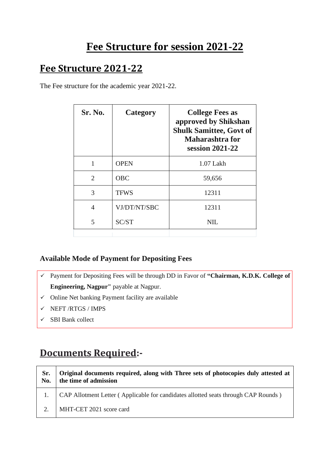## **Fee Structure for session 2021-22**

### **Fee Structure 2021-22**

The Fee structure for the academic year 2021-22.

| Sr. No.        | Category     | <b>College Fees as</b><br>approved by Shikshan<br><b>Shulk Samittee, Govt of</b><br>Maharashtra for<br>session 2021-22 |
|----------------|--------------|------------------------------------------------------------------------------------------------------------------------|
|                | <b>OPEN</b>  | $1.07$ Lakh                                                                                                            |
| $\overline{2}$ | <b>OBC</b>   | 59,656                                                                                                                 |
| 3              | <b>TFWS</b>  | 12311                                                                                                                  |
| 4              | VJ/DT/NT/SBC | 12311                                                                                                                  |
| 5              | SC/ST        | NIL.                                                                                                                   |
|                |              |                                                                                                                        |

#### **Available Mode of Payment for Depositing Fees**

- ✓ Payment for Depositing Fees will be through DD in Favor of **"Chairman, K.D.K. College of Engineering, Nagpur"** payable at Nagpur.
- $\checkmark$  Online Net banking Payment facility are available
- $\checkmark$  NEFT /RTGS / IMPS
- $\checkmark$  SBI Bank collect

## **Documents Required:-**

| Sr.<br>No. | Original documents required, along with Three sets of photocopies duly attested at<br>the time of admission |
|------------|-------------------------------------------------------------------------------------------------------------|
|            | CAP Allotment Letter (Applicable for candidates allotted seats through CAP Rounds)                          |
| 2.         | MHT-CET 2021 score card                                                                                     |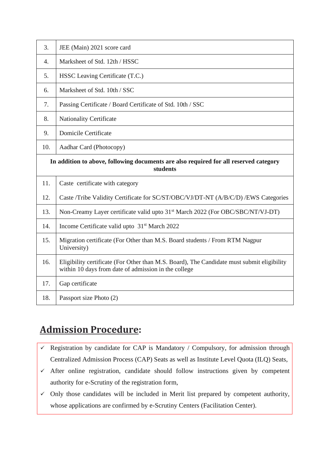| 3.                                                                                                | JEE (Main) 2021 score card                                                                                                                         |  |
|---------------------------------------------------------------------------------------------------|----------------------------------------------------------------------------------------------------------------------------------------------------|--|
| 4.                                                                                                | Marksheet of Std. 12th / HSSC                                                                                                                      |  |
| 5.                                                                                                | HSSC Leaving Certificate (T.C.)                                                                                                                    |  |
| 6.                                                                                                | Marksheet of Std. 10th / SSC                                                                                                                       |  |
| 7.                                                                                                | Passing Certificate / Board Certificate of Std. 10th / SSC                                                                                         |  |
| 8.                                                                                                | <b>Nationality Certificate</b>                                                                                                                     |  |
| 9.                                                                                                | <b>Domicile Certificate</b>                                                                                                                        |  |
| 10.                                                                                               | Aadhar Card (Photocopy)                                                                                                                            |  |
| In addition to above, following documents are also required for all reserved category<br>students |                                                                                                                                                    |  |
| 11.                                                                                               | Caste certificate with category                                                                                                                    |  |
| 12.                                                                                               | Caste /Tribe Validity Certificate for SC/ST/OBC/VJ/DT-NT (A/B/C/D) /EWS Categories                                                                 |  |
| 13.                                                                                               | Non-Creamy Layer certificate valid upto 31 <sup>st</sup> March 2022 (For OBC/SBC/NT/VJ-DT)                                                         |  |
| 14.                                                                                               | Income Certificate valid upto 31 <sup>st</sup> March 2022                                                                                          |  |
| 15.                                                                                               | Migration certificate (For Other than M.S. Board students / From RTM Nagpur<br>University)                                                         |  |
| 16.                                                                                               | Eligibility certificate (For Other than M.S. Board), The Candidate must submit eligibility<br>within 10 days from date of admission in the college |  |
| 17.                                                                                               | Gap certificate                                                                                                                                    |  |
| 18.                                                                                               | Passport size Photo (2)                                                                                                                            |  |

## **Admission Procedure:**

- $\checkmark$  Registration by candidate for CAP is Mandatory / Compulsory, for admission through Centralized Admission Process (CAP) Seats as well as Institute Level Quota (ILQ) Seats,
- ✓ After online registration, candidate should follow instructions given by competent authority for e-Scrutiny of the registration form,
- $\checkmark$  Only those candidates will be included in Merit list prepared by competent authority, whose applications are confirmed by e-Scrutiny Centers (Facilitation Center).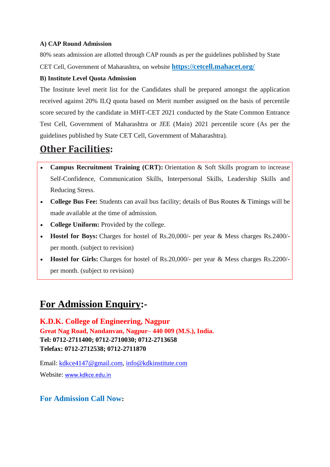#### **A) CAP Round Admission**

80% seats admission are allotted through CAP rounds as per the guidelines published by State CET Cell, Government of Maharashtra, on website **<https://cetcell.mahacet.org/>**

#### **B) Institute Level Quota Admission**

The Institute level merit list for the Candidates shall be prepared amongst the application received against 20% ILQ quota based on Merit number assigned on the basis of percentile score secured by the candidate in MHT-CET 2021 conducted by the State Common Entrance Test Cell, Government of Maharashtra or JEE (Main) 2021 percentile score (As per the guidelines published by State CET Cell, Government of Maharashtra).

## **Other Facilities:**

- **Campus Recruitment Training (CRT):** Orientation & Soft Skills program to increase Self-Confidence, Communication Skills, Interpersonal Skills, Leadership Skills and Reducing Stress.
- **College Bus Fee:** Students can avail bus facility; details of [Bus Routes & Timings](http://ycce.edu/pdf/Bus_Routes_&_Timing_2016_17%20Table.pdf) will be made available at the time of admission.
- **College Uniform:** Provided by the college.
- **Hostel for Boys:** Charges for hostel of Rs.20,000/- per year & Mess charges Rs.2400/ per month. (subject to revision)
- **Hostel for Girls:** Charges for hostel of Rs.20,000/- per year & Mess charges Rs.2200/ per month. (subject to revision)

### **For Admission Enquiry:-**

**K.D.K. College of Engineering, Nagpur Great Nag Road, Nandanvan, Nagpur– 440 009 (M.S.), India. Tel: 0712-2711400; 0712-2710030; 0712-2713658 Telefax: 0712-2712538; 0712-2711870**

Email: [kdkce4147@gmail.com,](mailto:kdkce4147@gmail.com) [info@kdkinstitute.com](mailto:info@kdkinstitute.com)

Website: www.kdkce.edu.in

#### **For Admission Call Now:**